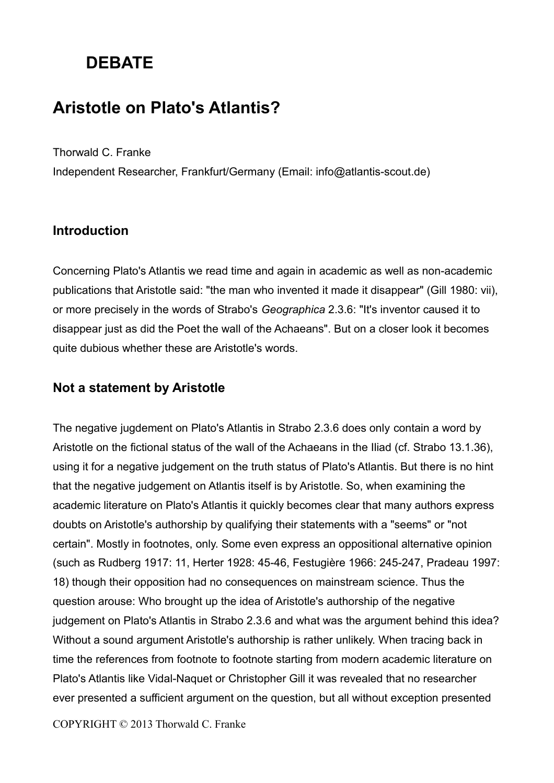# **DEBATE**

## **Aristotle on Plato's Atlantis?**

Thorwald C. Franke

Independent Researcher, Frankfurt/Germany (Email: info@atlantis-scout.de)

### **Introduction**

Concerning Plato's Atlantis we read time and again in academic as well as non-academic publications that Aristotle said: "the man who invented it made it disappear" (Gill 1980: vii), or more precisely in the words of Strabo's *Geographica* 2.3.6: "It's inventor caused it to disappear just as did the Poet the wall of the Achaeans". But on a closer look it becomes quite dubious whether these are Aristotle's words.

### **Not a statement by Aristotle**

The negative jugdement on Plato's Atlantis in Strabo 2.3.6 does only contain a word by Aristotle on the fictional status of the wall of the Achaeans in the Iliad (cf. Strabo 13.1.36), using it for a negative judgement on the truth status of Plato's Atlantis. But there is no hint that the negative judgement on Atlantis itself is by Aristotle. So, when examining the academic literature on Plato's Atlantis it quickly becomes clear that many authors express doubts on Aristotle's authorship by qualifying their statements with a "seems" or "not certain". Mostly in footnotes, only. Some even express an oppositional alternative opinion (such as Rudberg 1917: 11, Herter 1928: 45-46, Festugière 1966: 245-247, Pradeau 1997: 18) though their opposition had no consequences on mainstream science. Thus the question arouse: Who brought up the idea of Aristotle's authorship of the negative judgement on Plato's Atlantis in Strabo 2.3.6 and what was the argument behind this idea? Without a sound argument Aristotle's authorship is rather unlikely. When tracing back in time the references from footnote to footnote starting from modern academic literature on Plato's Atlantis like Vidal-Naquet or Christopher Gill it was revealed that no researcher ever presented a sufficient argument on the question, but all without exception presented

COPYRIGHT © 2013 Thorwald C. Franke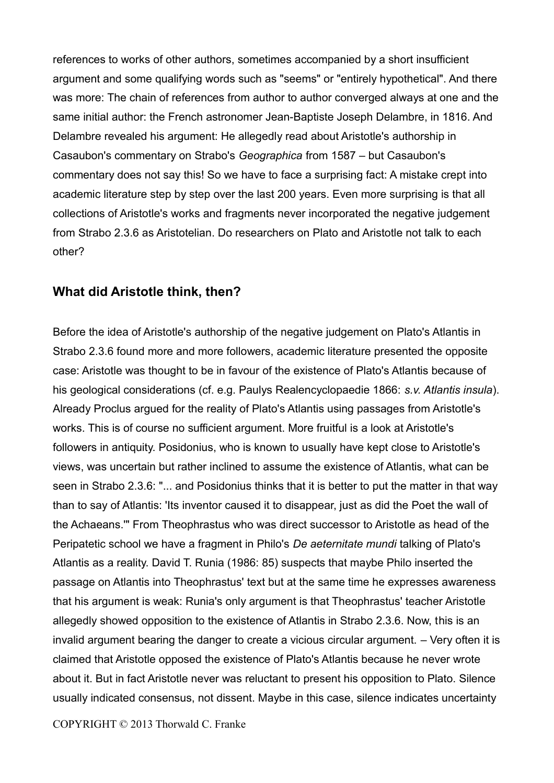references to works of other authors, sometimes accompanied by a short insufficient argument and some qualifying words such as "seems" or "entirely hypothetical". And there was more: The chain of references from author to author converged always at one and the same initial author: the French astronomer Jean-Baptiste Joseph Delambre, in 1816. And Delambre revealed his argument: He allegedly read about Aristotle's authorship in Casaubon's commentary on Strabo's *Geographica* from 1587 – but Casaubon's commentary does not say this! So we have to face a surprising fact: A mistake crept into academic literature step by step over the last 200 years. Even more surprising is that all collections of Aristotle's works and fragments never incorporated the negative judgement from Strabo 2.3.6 as Aristotelian. Do researchers on Plato and Aristotle not talk to each other?

#### **What did Aristotle think, then?**

Before the idea of Aristotle's authorship of the negative judgement on Plato's Atlantis in Strabo 2.3.6 found more and more followers, academic literature presented the opposite case: Aristotle was thought to be in favour of the existence of Plato's Atlantis because of his geological considerations (cf. e.g. Paulys Realencyclopaedie 1866: *s.v. Atlantis insula*). Already Proclus argued for the reality of Plato's Atlantis using passages from Aristotle's works. This is of course no sufficient argument. More fruitful is a look at Aristotle's followers in antiquity. Posidonius, who is known to usually have kept close to Aristotle's views, was uncertain but rather inclined to assume the existence of Atlantis, what can be seen in Strabo 2.3.6: "... and Posidonius thinks that it is better to put the matter in that way than to say of Atlantis: 'Its inventor caused it to disappear, just as did the Poet the wall of the Achaeans.'" From Theophrastus who was direct successor to Aristotle as head of the Peripatetic school we have a fragment in Philo's *De aeternitate mundi* talking of Plato's Atlantis as a reality. David T. Runia (1986: 85) suspects that maybe Philo inserted the passage on Atlantis into Theophrastus' text but at the same time he expresses awareness that his argument is weak: Runia's only argument is that Theophrastus' teacher Aristotle allegedly showed opposition to the existence of Atlantis in Strabo 2.3.6. Now, this is an invalid argument bearing the danger to create a vicious circular argument. – Very often it is claimed that Aristotle opposed the existence of Plato's Atlantis because he never wrote about it. But in fact Aristotle never was reluctant to present his opposition to Plato. Silence usually indicated consensus, not dissent. Maybe in this case, silence indicates uncertainty

COPYRIGHT © 2013 Thorwald C. Franke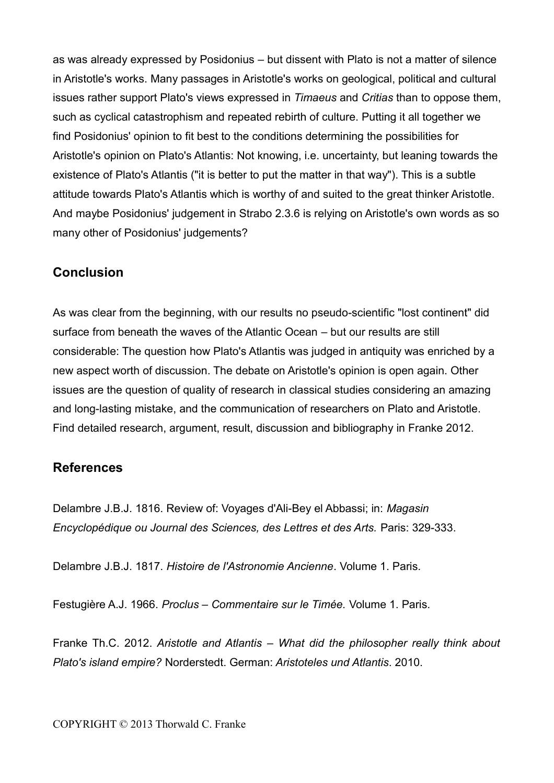as was already expressed by Posidonius – but dissent with Plato is not a matter of silence in Aristotle's works. Many passages in Aristotle's works on geological, political and cultural issues rather support Plato's views expressed in *Timaeus* and *Critias* than to oppose them, such as cyclical catastrophism and repeated rebirth of culture. Putting it all together we find Posidonius' opinion to fit best to the conditions determining the possibilities for Aristotle's opinion on Plato's Atlantis: Not knowing, i.e. uncertainty, but leaning towards the existence of Plato's Atlantis ("it is better to put the matter in that way"). This is a subtle attitude towards Plato's Atlantis which is worthy of and suited to the great thinker Aristotle. And maybe Posidonius' judgement in Strabo 2.3.6 is relying on Aristotle's own words as so many other of Posidonius' judgements?

### **Conclusion**

As was clear from the beginning, with our results no pseudo-scientific "lost continent" did surface from beneath the waves of the Atlantic Ocean – but our results are still considerable: The question how Plato's Atlantis was judged in antiquity was enriched by a new aspect worth of discussion. The debate on Aristotle's opinion is open again. Other issues are the question of quality of research in classical studies considering an amazing and long-lasting mistake, and the communication of researchers on Plato and Aristotle. Find detailed research, argument, result, discussion and bibliography in Franke 2012.

### **References**

Delambre J.B.J. 1816. Review of: Voyages d'Ali-Bey el Abbassi; in: *Magasin Encyclopédique ou Journal des Sciences, des Lettres et des Arts.* Paris: 329-333.

Delambre J.B.J. 1817. *Histoire de l'Astronomie Ancienne*. Volume 1. Paris.

Festugière A.J. 1966. *Proclus – Commentaire sur le Timée.* Volume 1. Paris.

Franke Th.C. 2012. *Aristotle and Atlantis – What did the philosopher really think about Plato's island empire?* Norderstedt. German: *Aristoteles und Atlantis*. 2010.